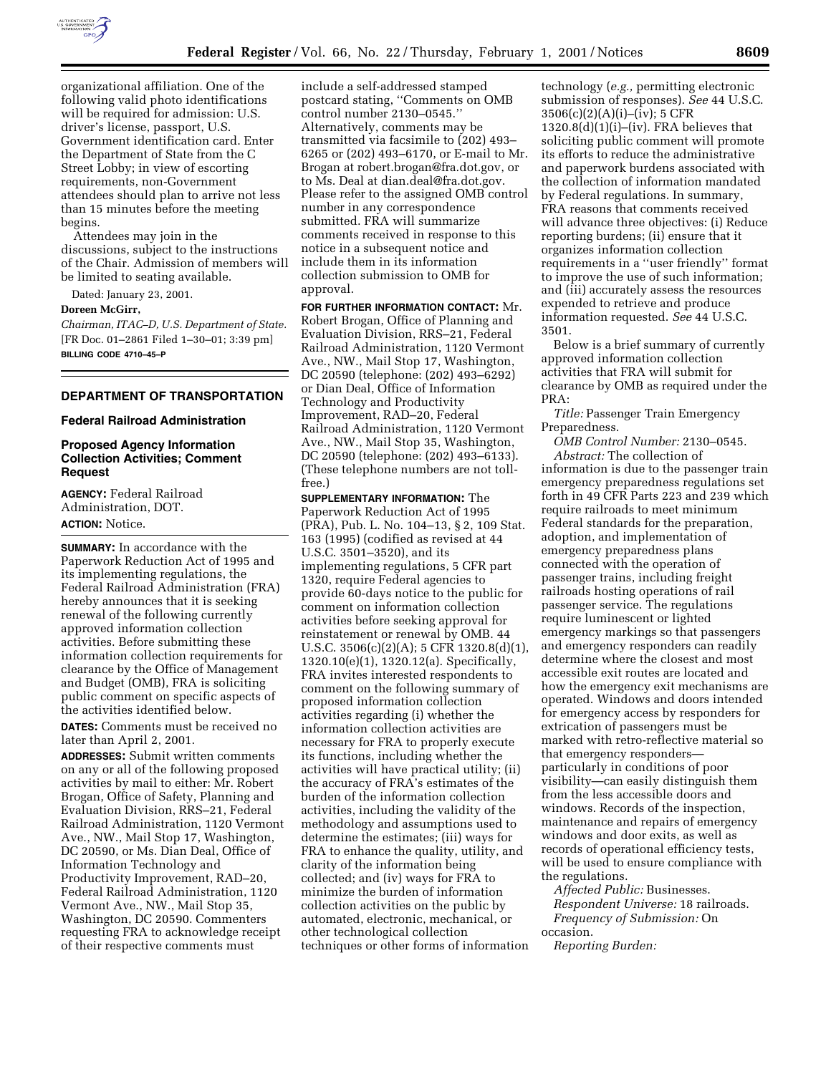

organizational affiliation. One of the following valid photo identifications will be required for admission: U.S. driver's license, passport, U.S. Government identification card. Enter the Department of State from the C Street Lobby; in view of escorting requirements, non-Government attendees should plan to arrive not less than 15 minutes before the meeting begins.

Attendees may join in the discussions, subject to the instructions of the Chair. Admission of members will be limited to seating available.

Dated: January 23, 2001.

#### **Doreen McGirr,**

*Chairman, ITAC–D, U.S. Department of State.* [FR Doc. 01–2861 Filed 1–30–01; 3:39 pm] **BILLING CODE 4710–45–P**

### **DEPARTMENT OF TRANSPORTATION**

#### **Federal Railroad Administration**

### **Proposed Agency Information Collection Activities; Comment Request**

**AGENCY:** Federal Railroad Administration, DOT. **ACTION:** Notice.

**SUMMARY:** In accordance with the Paperwork Reduction Act of 1995 and its implementing regulations, the Federal Railroad Administration (FRA) hereby announces that it is seeking renewal of the following currently approved information collection activities. Before submitting these information collection requirements for clearance by the Office of Management and Budget (OMB), FRA is soliciting public comment on specific aspects of the activities identified below.

**DATES:** Comments must be received no later than April 2, 2001.

**ADDRESSES:** Submit written comments on any or all of the following proposed activities by mail to either: Mr. Robert Brogan, Office of Safety, Planning and Evaluation Division, RRS–21, Federal Railroad Administration, 1120 Vermont Ave., NW., Mail Stop 17, Washington, DC 20590, or Ms. Dian Deal, Office of Information Technology and Productivity Improvement, RAD–20, Federal Railroad Administration, 1120 Vermont Ave., NW., Mail Stop 35, Washington, DC 20590. Commenters requesting FRA to acknowledge receipt of their respective comments must

include a self-addressed stamped postcard stating, ''Comments on OMB control number 2130–0545.'' Alternatively, comments may be transmitted via facsimile to (202) 493– 6265 or (202) 493–6170, or E-mail to Mr. Brogan at robert.brogan@fra.dot.gov, or to Ms. Deal at dian.deal@fra.dot.gov. Please refer to the assigned OMB control number in any correspondence submitted. FRA will summarize comments received in response to this notice in a subsequent notice and include them in its information collection submission to OMB for approval.

**FOR FURTHER INFORMATION CONTACT:** Mr. Robert Brogan, Office of Planning and Evaluation Division, RRS–21, Federal Railroad Administration, 1120 Vermont Ave., NW., Mail Stop 17, Washington, DC 20590 (telephone: (202) 493–6292) or Dian Deal, Office of Information Technology and Productivity Improvement, RAD–20, Federal Railroad Administration, 1120 Vermont Ave., NW., Mail Stop 35, Washington, DC 20590 (telephone: (202) 493–6133). (These telephone numbers are not tollfree.)

**SUPPLEMENTARY INFORMATION:** The Paperwork Reduction Act of 1995 (PRA), Pub. L. No. 104–13, § 2, 109 Stat. 163 (1995) (codified as revised at 44 U.S.C. 3501–3520), and its implementing regulations, 5 CFR part 1320, require Federal agencies to provide 60-days notice to the public for comment on information collection activities before seeking approval for reinstatement or renewal by OMB. 44 U.S.C. 3506(c)(2)(A); 5 CFR 1320.8(d)(1), 1320.10(e)(1), 1320.12(a). Specifically, FRA invites interested respondents to comment on the following summary of proposed information collection activities regarding (i) whether the information collection activities are necessary for FRA to properly execute its functions, including whether the activities will have practical utility; (ii) the accuracy of FRA's estimates of the burden of the information collection activities, including the validity of the methodology and assumptions used to determine the estimates; (iii) ways for FRA to enhance the quality, utility, and clarity of the information being collected; and (iv) ways for FRA to minimize the burden of information collection activities on the public by automated, electronic, mechanical, or other technological collection techniques or other forms of information

technology (*e.g.,* permitting electronic submission of responses). *See* 44 U.S.C. 3506(c)(2)(A)(i)–(iv); 5 CFR  $1320.8\text{d}(1)(i)$ –(iv). FRA believes that soliciting public comment will promote its efforts to reduce the administrative and paperwork burdens associated with the collection of information mandated by Federal regulations. In summary, FRA reasons that comments received will advance three objectives: (i) Reduce reporting burdens; (ii) ensure that it organizes information collection requirements in a ''user friendly'' format to improve the use of such information; and (iii) accurately assess the resources expended to retrieve and produce information requested. *See* 44 U.S.C. 3501.

Below is a brief summary of currently approved information collection activities that FRA will submit for clearance by OMB as required under the PRA:

*Title:* Passenger Train Emergency Preparedness.

*OMB Control Number:* 2130–0545. *Abstract:* The collection of information is due to the passenger train emergency preparedness regulations set forth in 49 CFR Parts 223 and 239 which require railroads to meet minimum Federal standards for the preparation, adoption, and implementation of emergency preparedness plans connected with the operation of passenger trains, including freight railroads hosting operations of rail passenger service. The regulations require luminescent or lighted emergency markings so that passengers and emergency responders can readily determine where the closest and most accessible exit routes are located and how the emergency exit mechanisms are operated. Windows and doors intended for emergency access by responders for extrication of passengers must be marked with retro-reflective material so that emergency responders particularly in conditions of poor visibility—can easily distinguish them from the less accessible doors and windows. Records of the inspection, maintenance and repairs of emergency windows and door exits, as well as records of operational efficiency tests, will be used to ensure compliance with the regulations.

*Affected Public:* Businesses. *Respondent Universe:* 18 railroads. *Frequency of Submission:* On occasion.

*Reporting Burden:*